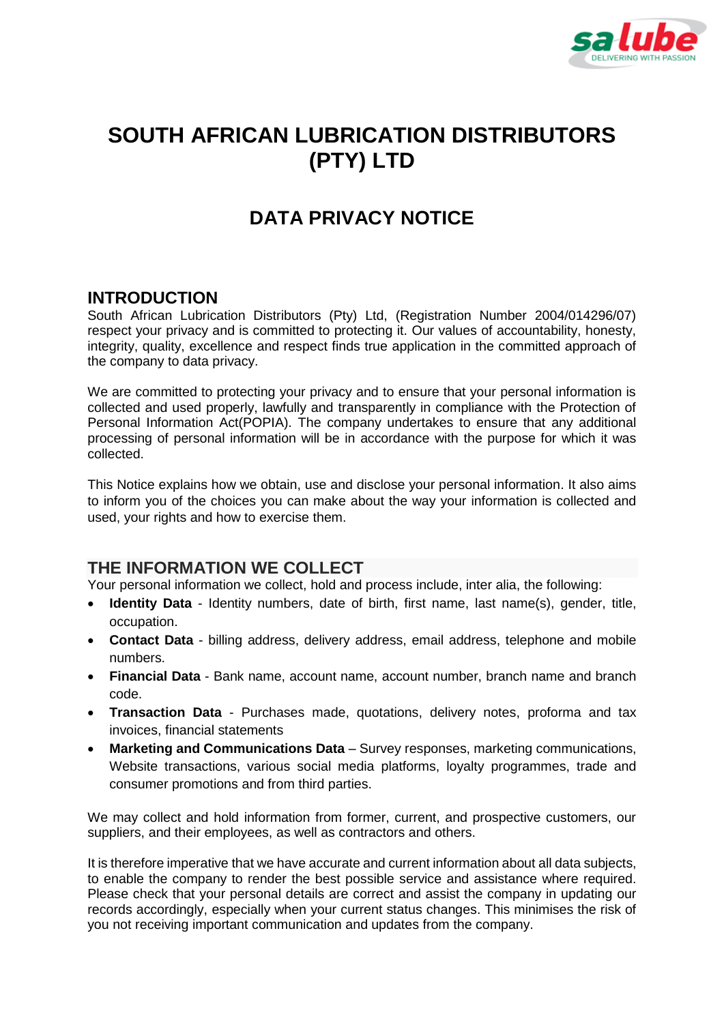

# **SOUTH AFRICAN LUBRICATION DISTRIBUTORS (PTY) LTD**

## **DATA PRIVACY NOTICE**

#### **INTRODUCTION**

South African Lubrication Distributors (Pty) Ltd, (Registration Number 2004/014296/07) respect your privacy and is committed to protecting it. Our values of accountability, honesty, integrity, quality, excellence and respect finds true application in the committed approach of the company to data privacy.

We are committed to protecting your privacy and to ensure that your personal information is collected and used properly, lawfully and transparently in compliance with the Protection of Personal Information Act(POPIA). The company undertakes to ensure that any additional processing of personal information will be in accordance with the purpose for which it was collected.

This Notice explains how we obtain, use and disclose your personal information. It also aims to inform you of the choices you can make about the way your information is collected and used, your rights and how to exercise them.

## **THE INFORMATION WE COLLECT**

Your personal information we collect, hold and process include, inter alia, the following:

- **Identity Data**  Identity numbers, date of birth, first name, last name(s), gender, title, occupation.
- **Contact Data**  billing address, delivery address, email address, telephone and mobile numbers.
- **Financial Data**  Bank name, account name, account number, branch name and branch code.
- **Transaction Data**  Purchases made, quotations, delivery notes, proforma and tax invoices, financial statements
- **Marketing and Communications Data** Survey responses, marketing communications, Website transactions, various social media platforms, loyalty programmes, trade and consumer promotions and from third parties.

We may collect and hold information from former, current, and prospective customers, our suppliers, and their employees, as well as contractors and others.

It is therefore imperative that we have accurate and current information about all data subjects, to enable the company to render the best possible service and assistance where required. Please check that your personal details are correct and assist the company in updating our records accordingly, especially when your current status changes. This minimises the risk of you not receiving important communication and updates from the company.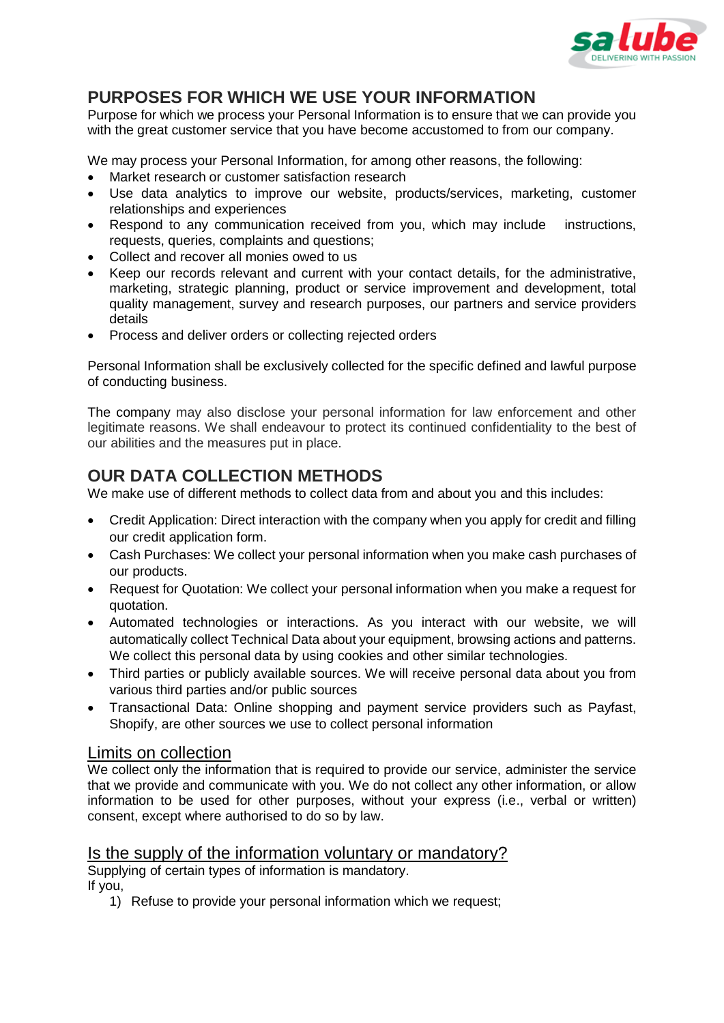

## **PURPOSES FOR WHICH WE USE YOUR INFORMATION**

Purpose for which we process your Personal Information is to ensure that we can provide you with the great customer service that you have become accustomed to from our company.

We may process your Personal Information, for among other reasons, the following:

- Market research or customer satisfaction research
- Use data analytics to improve our website, products/services, marketing, customer relationships and experiences
- Respond to any communication received from you, which may include instructions, requests, queries, complaints and questions;
- Collect and recover all monies owed to us
- Keep our records relevant and current with your contact details, for the administrative, marketing, strategic planning, product or service improvement and development, total quality management, survey and research purposes, our partners and service providers details
- Process and deliver orders or collecting rejected orders

Personal Information shall be exclusively collected for the specific defined and lawful purpose of conducting business.

The company may also disclose your personal information for law enforcement and other legitimate reasons. We shall endeavour to protect its continued confidentiality to the best of our abilities and the measures put in place.

## **OUR DATA COLLECTION METHODS**

We make use of different methods to collect data from and about you and this includes:

- Credit Application: Direct interaction with the company when you apply for credit and filling our credit application form.
- Cash Purchases: We collect your personal information when you make cash purchases of our products.
- Request for Quotation: We collect your personal information when you make a request for quotation.
- Automated technologies or interactions. As you interact with our website, we will automatically collect Technical Data about your equipment, browsing actions and patterns. We collect this personal data by using cookies and other similar technologies.
- Third parties or publicly available sources. We will receive personal data about you from various third parties and/or public sources
- Transactional Data: Online shopping and payment service providers such as Payfast, Shopify, are other sources we use to collect personal information

#### Limits on collection

We collect only the information that is required to provide our service, administer the service that we provide and communicate with you. We do not collect any other information, or allow information to be used for other purposes, without your express (i.e., verbal or written) consent, except where authorised to do so by law.

#### Is the supply of the information voluntary or mandatory?

Supplying of certain types of information is mandatory. If you,

1) Refuse to provide your personal information which we request;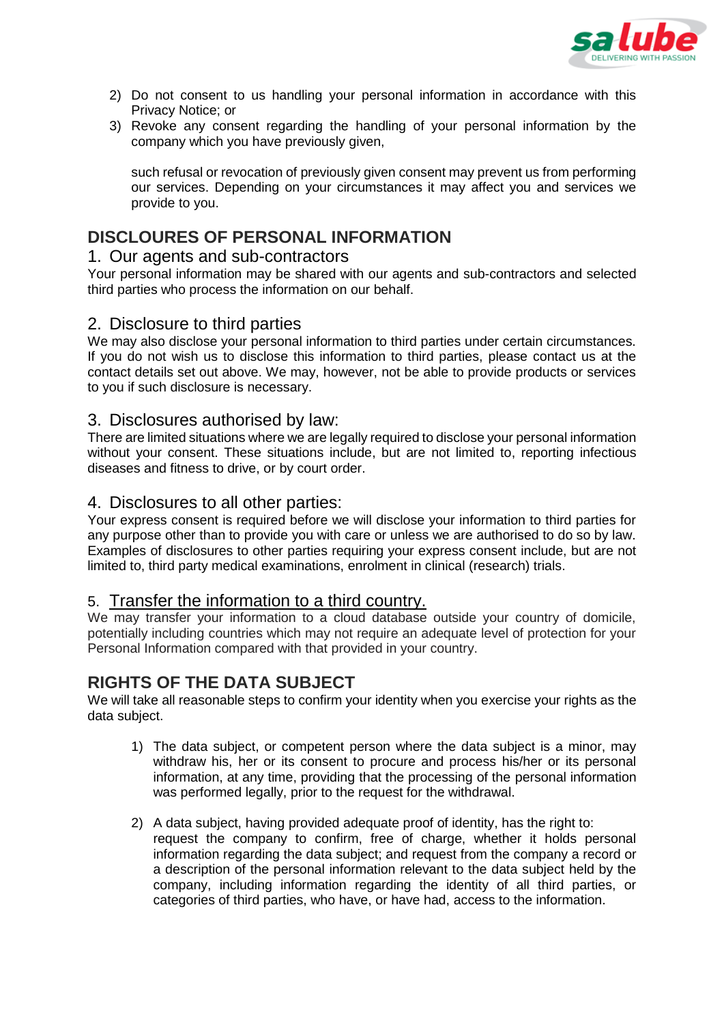

- 2) Do not consent to us handling your personal information in accordance with this Privacy Notice; or
- 3) Revoke any consent regarding the handling of your personal information by the company which you have previously given,

such refusal or revocation of previously given consent may prevent us from performing our services. Depending on your circumstances it may affect you and services we provide to you.

## **DISCLOURES OF PERSONAL INFORMATION**

#### 1. Our agents and sub-contractors

Your personal information may be shared with our agents and sub-contractors and selected third parties who process the information on our behalf.

#### 2. Disclosure to third parties

We may also disclose your personal information to third parties under certain circumstances. If you do not wish us to disclose this information to third parties, please contact us at the contact details set out above. We may, however, not be able to provide products or services to you if such disclosure is necessary.

#### 3. Disclosures authorised by law:

There are limited situations where we are legally required to disclose your personal information without your consent. These situations include, but are not limited to, reporting infectious diseases and fitness to drive, or by court order.

#### 4. Disclosures to all other parties:

Your express consent is required before we will disclose your information to third parties for any purpose other than to provide you with care or unless we are authorised to do so by law. Examples of disclosures to other parties requiring your express consent include, but are not limited to, third party medical examinations, enrolment in clinical (research) trials.

#### 5. Transfer the information to a third country.

We may transfer your information to a cloud database outside your country of domicile, potentially including countries which may not require an adequate level of protection for your Personal Information compared with that provided in your country.

#### **RIGHTS OF THE DATA SUBJECT**

We will take all reasonable steps to confirm your identity when you exercise your rights as the data subject.

- 1) The data subject, or competent person where the data subject is a minor, may withdraw his, her or its consent to procure and process his/her or its personal information, at any time, providing that the processing of the personal information was performed legally, prior to the request for the withdrawal.
- 2) A data subject, having provided adequate proof of identity, has the right to: request the company to confirm, free of charge, whether it holds personal information regarding the data subject; and request from the company a record or a description of the personal information relevant to the data subject held by the company, including information regarding the identity of all third parties, or categories of third parties, who have, or have had, access to the information.